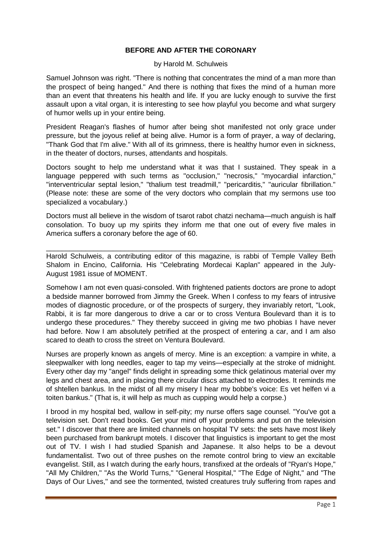## **BEFORE AND AFTER THE CORONARY**

## by Harold M. Schulweis

Samuel Johnson was right. "There is nothing that concentrates the mind of a man more than the prospect of being hanged." And there is nothing that fixes the mind of a human more than an event that threatens his health and life. If you are lucky enough to survive the first assault upon a vital organ, it is interesting to see how playful you become and what surgery of humor wells up in your entire being.

President Reagan's flashes of humor after being shot manifested not only grace under pressure, but the joyous relief at being alive. Humor is a form of prayer, a way of declaring, "Thank God that I'm alive." With all of its grimness, there is healthy humor even in sickness, in the theater of doctors, nurses, attendants and hospitals.

Doctors sought to help me understand what it was that I sustained. They speak in a language peppered with such terms as "occlusion," "necrosis," "myocardial infarction," "interventricular septal lesion," "thalium test treadmill," "pericarditis," "auricular fibrillation." (Please note: these are some of the very doctors who complain that my sermons use too specialized a vocabulary.)

Doctors must all believe in the wisdom of tsarot rabot chatzi nechama—much anguish is half consolation. To buoy up my spirits they inform me that one out of every five males in America suffers a coronary before the age of 60.

Harold Schulweis, a contributing editor of this magazine, is rabbi of Temple Valley Beth Shalom in Encino, California. His "Celebrating Mordecai Kaplan" appeared in the July-August 1981 issue of MOMENT.

\_\_\_\_\_\_\_\_\_\_\_\_\_\_\_\_\_\_\_\_\_\_\_\_\_\_\_\_\_\_\_\_\_\_\_\_\_\_\_\_\_\_\_\_\_\_\_\_\_\_\_\_\_\_\_\_\_\_\_\_\_\_\_\_\_\_\_\_\_\_\_\_\_

Somehow I am not even quasi-consoled. With frightened patients doctors are prone to adopt a bedside manner borrowed from Jimmy the Greek. When I confess to my fears of intrusive modes of diagnostic procedure, or of the prospects of surgery, they invariably retort, "Look, Rabbi, it is far more dangerous to drive a car or to cross Ventura Boulevard than it is to undergo these procedures." They thereby succeed in giving me two phobias I have never had before. Now I am absolutely petrified at the prospect of entering a car, and I am also scared to death to cross the street on Ventura Boulevard.

Nurses are properly known as angels of mercy. Mine is an exception: a vampire in white, a sleepwalker with long needles, eager to tap my veins—especially at the stroke of midnight. Every other day my "angel" finds delight in spreading some thick gelatinous material over my legs and chest area, and in placing there circular discs attached to electrodes. It reminds me of shtellen bankus. In the midst of all my misery I hear my bobbe's voice: Es vet helfen vi a toiten bankus." (That is, it will help as much as cupping would help a corpse.)

I brood in my hospital bed, wallow in self-pity; my nurse offers sage counsel. "You've got a television set. Don't read books. Get your mind off your problems and put on the television set." I discover that there are limited channels on hospital TV sets: the sets have most likely been purchased from bankrupt motels. I discover that linguistics is important to get the most out of TV. I wish I had studied Spanish and Japanese. It also helps to be a devout fundamentalist. Two out of three pushes on the remote control bring to view an excitable evangelist. Still, as I watch during the early hours, transfixed at the ordeals of "Ryan's Hope," "All My Children," "As the World Turns," "General Hospital," "The Edge of Night," and "The Days of Our Lives," and see the tormented, twisted creatures truly suffering from rapes and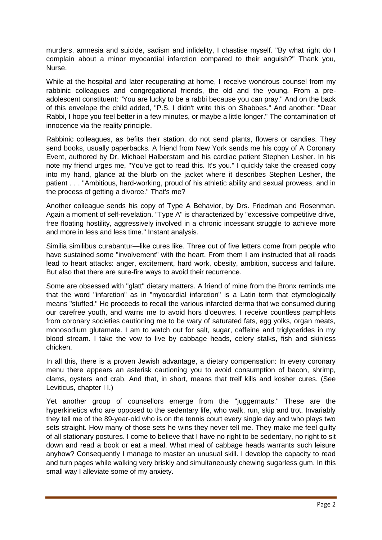murders, amnesia and suicide, sadism and infidelity, I chastise myself. "By what right do I complain about a minor myocardial infarction compared to their anguish?" Thank you, Nurse.

While at the hospital and later recuperating at home, I receive wondrous counsel from my rabbinic colleagues and congregational friends, the old and the young. From a preadolescent constituent: "You are lucky to be a rabbi because you can pray." And on the back of this envelope the child added, "P.S. I didn't write this on Shabbes." And another: "Dear Rabbi, I hope you feel better in a few minutes, or maybe a little longer." The contamination of innocence via the reality principle.

Rabbinic colleagues, as befits their station, do not send plants, flowers or candies. They send books, usually paperbacks. A friend from New York sends me his copy of A Coronary Event, authored by Dr. Michael Halberstam and his cardiac patient Stephen Lesher. In his note my friend urges me, "You've got to read this. It's you." I quickly take the creased copy into my hand, glance at the blurb on the jacket where it describes Stephen Lesher, the patient . . . "Ambitious, hard-working, proud of his athletic ability and sexual prowess, and in the process of getting a divorce." That's me?

Another colleague sends his copy of Type A Behavior, by Drs. Friedman and Rosenman. Again a moment of self-revelation. "Type A" is characterized by "excessive competitive drive, free floating hostility, aggressively involved in a chronic incessant struggle to achieve more and more in less and less time." Instant analysis.

Similia similibus curabantur—like cures like. Three out of five letters come from people who have sustained some "involvement" with the heart. From them I am instructed that all roads lead to heart attacks: anger, excitement, hard work, obesity, ambition, success and failure. But also that there are sure-fire ways to avoid their recurrence.

Some are obsessed with "glatt" dietary matters. A friend of mine from the Bronx reminds me that the word "infarction" as in "myocardial infarction" is a Latin term that etymologically means "stuffed." He proceeds to recall the various infarcted derma that we consumed during our carefree youth, and warns me to avoid hors d'oeuvres. I receive countless pamphlets from coronary societies cautioning me to be wary of saturated fats, egg yolks, organ meats, monosodium glutamate. I am to watch out for salt, sugar, caffeine and triglycerides in my blood stream. I take the vow to live by cabbage heads, celery stalks, fish and skinless chicken.

In all this, there is a proven Jewish advantage, a dietary compensation: In every coronary menu there appears an asterisk cautioning you to avoid consumption of bacon, shrimp, clams, oysters and crab. And that, in short, means that treif kills and kosher cures. (See Leviticus, chapter I I.)

Yet another group of counsellors emerge from the "juggernauts." These are the hyperkinetics who are opposed to the sedentary life, who walk, run, skip and trot. Invariably they tell me of the 89-year-old who is on the tennis court every single day and who plays two sets straight. How many of those sets he wins they never tell me. They make me feel guilty of all stationary postures. I come to believe that I have no right to be sedentary, no right to sit down and read a book or eat a meal. What meal of cabbage heads warrants such leisure anyhow? Consequently I manage to master an unusual skill. I develop the capacity to read and turn pages while walking very briskly and simultaneously chewing sugarless gum. In this small way I alleviate some of my anxiety.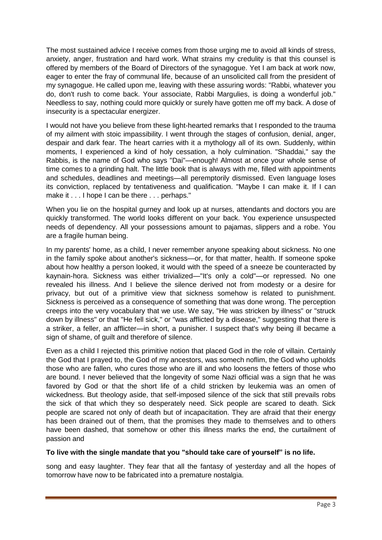The most sustained advice I receive comes from those urging me to avoid all kinds of stress, anxiety, anger, frustration and hard work. What strains my credulity is that this counsel is offered by members of the Board of Directors of the synagogue. Yet I am back at work now, eager to enter the fray of communal life, because of an unsolicited call from the president of my synagogue. He called upon me, leaving with these assuring words: "Rabbi, whatever you do, don't rush to come back. Your associate, Rabbi Margulies, is doing a wonderful job." Needless to say, nothing could more quickly or surely have gotten me off my back. A dose of insecurity is a spectacular energizer.

I would not have you believe from these light-hearted remarks that I responded to the trauma of my ailment with stoic impassibility. I went through the stages of confusion, denial, anger, despair and dark fear. The heart carries with it a mythology all of its own. Suddenly, within moments, I experienced a kind of holy cessation, a holy culmination. "Shaddai," say the Rabbis, is the name of God who says "Dai"—enough! Almost at once your whole sense of time comes to a grinding halt. The little book that is always with me, filled with appointments and schedules, deadlines and meetings—all peremptorily dismissed. Even language loses its conviction, replaced by tentativeness and qualification. "Maybe I can make it. If I can make it . . . I hope I can be there . . . perhaps."

When you lie on the hospital gurney and look up at nurses, attendants and doctors you are quickly transformed. The world looks different on your back. You experience unsuspected needs of dependency. All your possessions amount to pajamas, slippers and a robe. You are a fragile human being.

In my parents' home, as a child, I never remember anyone speaking about sickness. No one in the family spoke about another's sickness—or, for that matter, health. If someone spoke about how healthy a person looked, it would with the speed of a sneeze be counteracted by kaynain-hora. Sickness was either trivialized—"It's only a cold"—or repressed. No one revealed his illness. And I believe the silence derived not from modesty or a desire for privacy, but out of a primitive view that sickness somehow is related to punishment. Sickness is perceived as a consequence of something that was done wrong. The perception creeps into the very vocabulary that we use. We say, "He was stricken by illness" or "struck down by illness" or that "He fell sick," or "was afflicted by a disease," suggesting that there is a striker, a feller, an afflicter—in short, a punisher. I suspect that's why being ill became a sign of shame, of guilt and therefore of silence.

Even as a child I rejected this primitive notion that placed God in the role of villain. Certainly the God that I prayed to, the God of my ancestors, was somech noflim, the God who upholds those who are fallen, who cures those who are ill and who loosens the fetters of those who are bound. I never believed that the longevity of some Nazi official was a sign that he was favored by God or that the short life of a child stricken by leukemia was an omen of wickedness. But theology aside, that self-imposed silence of the sick that still prevails robs the sick of that which they so desperately need. Sick people are scared to death. Sick people are scared not only of death but of incapacitation. They are afraid that their energy has been drained out of them, that the promises they made to themselves and to others have been dashed, that somehow or other this illness marks the end, the curtailment of passion and

## **To live with the single mandate that you "should take care of yourself" is no life.**

song and easy laughter. They fear that all the fantasy of yesterday and all the hopes of tomorrow have now to be fabricated into a premature nostalgia.